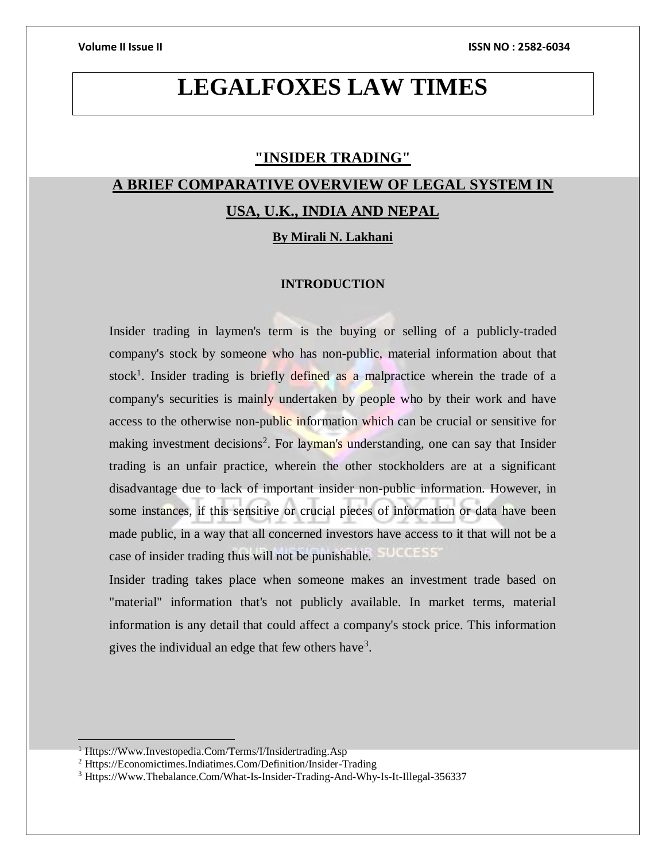# **LEGALFOXES LAW TIMES**

# **"INSIDER TRADING"**

# **A BRIEF COMPARATIVE OVERVIEW OF LEGAL SYSTEM IN USA, U.K., INDIA AND NEPAL**

**By Mirali N. Lakhani**

## **INTRODUCTION**

Insider trading in laymen's term is the buying or selling of a publicly-traded company's stock by someone who has non-public, material information about that stock<sup>1</sup>. Insider trading is briefly defined as a malpractice wherein the trade of a company's securities is mainly undertaken by people who by their work and have access to the otherwise non-public information which can be crucial or sensitive for making investment decisions<sup>2</sup>. For layman's understanding, one can say that Insider trading is an unfair practice, wherein the other stockholders are at a significant disadvantage due to lack of important insider non-public information. However, in some instances, if this sensitive or crucial pieces of information or data have been made public, in a way that all concerned investors have access to it that will not be a case of insider trading thus will not be punishable.  $(0.01555)$ 

Insider trading takes place when someone makes an investment trade based on "material" information that's not publicly available. In market terms, material information is any detail that could affect a company's stock price. This information gives the individual an edge that few others have<sup>3</sup>.

<sup>&</sup>lt;sup>1</sup> Https://Www.Investopedia.Com/Terms/I/Insidertrading.Asp

<sup>2</sup> Https://Economictimes.Indiatimes.Com/Definition/Insider-Trading

<sup>3</sup> Https://Www.Thebalance.Com/What-Is-Insider-Trading-And-Why-Is-It-Illegal-356337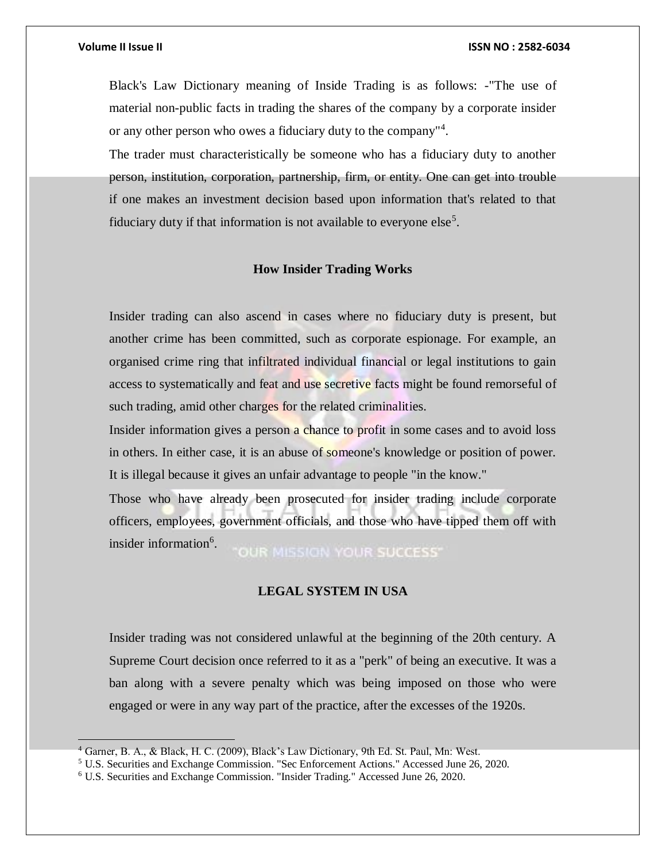Black's Law Dictionary meaning of Inside Trading is as follows: -"The use of material non-public facts in trading the shares of the company by a corporate insider or any other person who owes a fiduciary duty to the company"<sup>4</sup> .

The trader must characteristically be someone who has a fiduciary duty to another person, institution, corporation, partnership, firm, or entity. One can get into trouble if one makes an investment decision based upon information that's related to that fiduciary duty if that information is not available to everyone else<sup>5</sup>.

### **How Insider Trading Works**

Insider trading can also ascend in cases where no fiduciary duty is present, but another crime has been committed, such as corporate espionage. For example, an organised crime ring that infiltrated individual financial or legal institutions to gain access to systematically and feat and use secretive facts might be found remorseful of such trading, amid other charges for the related criminalities.

Insider information gives a person a chance to profit in some cases and to avoid loss in others. In either case, it is an abuse of someone's knowledge or position of power. It is illegal because it gives an unfair advantage to people "in the know."

Those who have already been prosecuted for insider trading include corporate officers, employees, government officials, and those who have tipped them off with insider information<sup>6</sup>. **OUR MISSION YOUR SUCCESS'** 

### **LEGAL SYSTEM IN USA**

Insider trading was not considered unlawful at the beginning of the 20th century. A Supreme Court decision once referred to it as a "perk" of being an executive. It was a ban along with a severe penalty which was being imposed on those who were engaged or were in any way part of the practice, after the excesses of the 1920s.

<sup>4</sup> Garner, B. A., & Black, H. C. (2009), Black's Law Dictionary, 9th Ed. St. Paul, Mn: West.

<sup>5</sup> U.S. Securities and Exchange Commission. "Sec Enforcement Actions." Accessed June 26, 2020.

<sup>6</sup> U.S. Securities and Exchange Commission. "Insider Trading." Accessed June 26, 2020.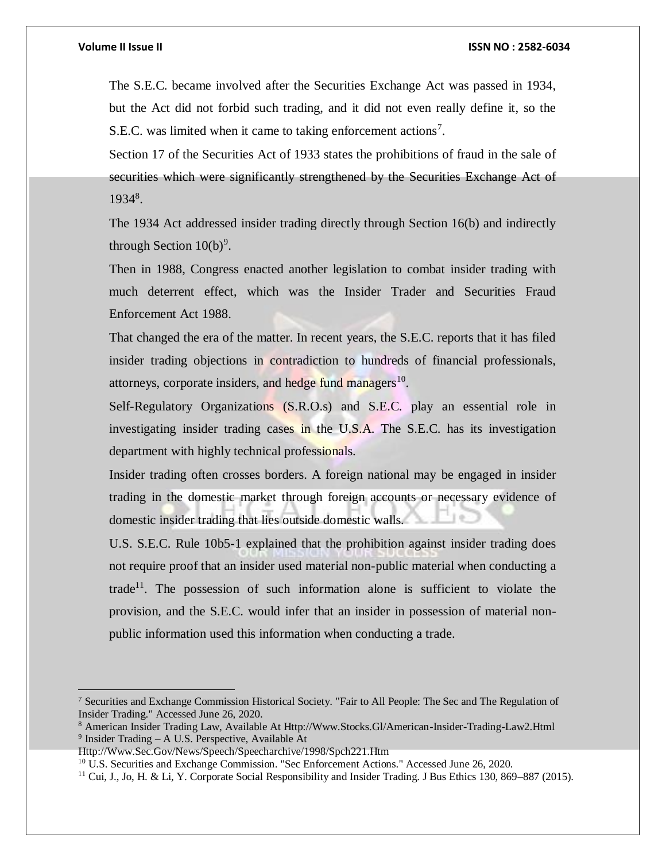The S.E.C. became involved after the Securities Exchange Act was passed in 1934, but the Act did not forbid such trading, and it did not even really define it, so the S.E.C. was limited when it came to taking enforcement actions<sup>7</sup>.

Section 17 of the Securities Act of 1933 states the prohibitions of fraud in the sale of securities which were significantly strengthened by the Securities Exchange Act of 19348.

The 1934 Act addressed insider trading directly through Section 16(b) and indirectly through Section  $10(b)^9$ .

Then in 1988, Congress enacted another legislation to combat insider trading with much deterrent effect, which was the Insider Trader and Securities Fraud Enforcement Act 1988.

That changed the era of the matter. In recent years, the S.E.C. reports that it has filed insider trading objections in contradiction to hundreds of financial professionals, attorneys, corporate insiders, and hedge fund managers<sup>10</sup>.

Self-Regulatory Organizations (S.R.O.s) and S.E.C. play an essential role in investigating insider trading cases in the U.S.A. The S.E.C. has its investigation department with highly technical professionals.

Insider trading often crosses borders. A foreign national may be engaged in insider trading in the domestic market through foreign accounts or necessary evidence of domestic insider trading that lies outside domestic walls.

U.S. S.E.C. Rule 10b5-1 explained that the prohibition against insider trading does not require proof that an insider used material non-public material when conducting a trade<sup>11</sup>. The possession of such information alone is sufficient to violate the provision, and the S.E.C. would infer that an insider in possession of material nonpublic information used this information when conducting a trade.

<sup>7</sup> Securities and Exchange Commission Historical Society. "Fair to All People: The Sec and The Regulation of Insider Trading." Accessed June 26, 2020.

<sup>8</sup> American Insider Trading Law, Available At Http://Www.Stocks.Gl/American-Insider-Trading-Law2.Html <sup>9</sup> Insider Trading – A U.S. Perspective, Available At

Http://Www.Sec.Gov/News/Speech/Speecharchive/1998/Spch221.Htm

<sup>&</sup>lt;sup>10</sup> U.S. Securities and Exchange Commission. "Sec Enforcement Actions." Accessed June 26, 2020.

<sup>&</sup>lt;sup>11</sup> Cui, J., Jo, H. & Li, Y. Corporate Social Responsibility and Insider Trading. J Bus Ethics 130, 869–887 (2015).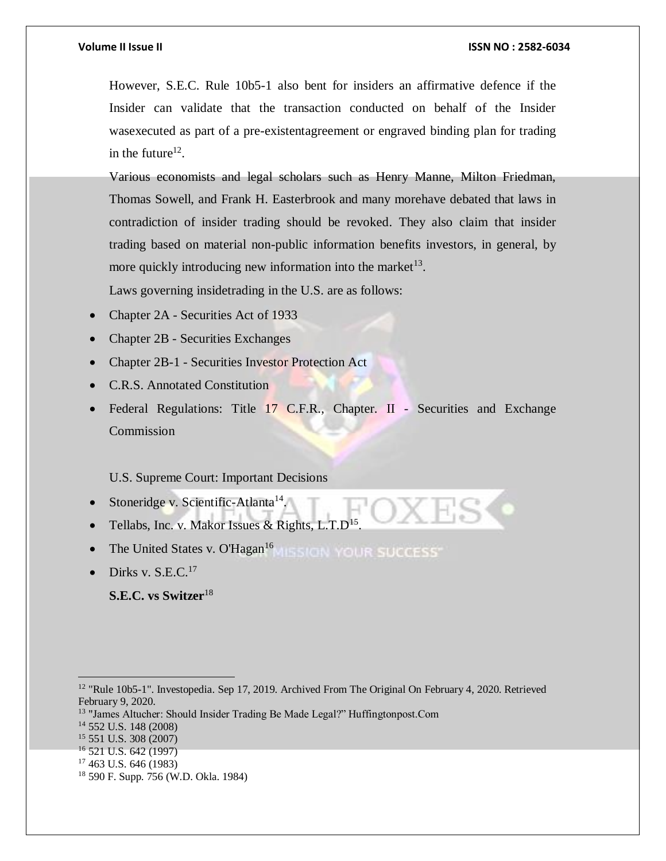However, S.E.C. Rule 10b5-1 also bent for insiders an affirmative defence if the Insider can validate that the transaction conducted on behalf of the Insider wasexecuted as part of a pre-existentagreement or engraved binding plan for trading in the future<sup>12</sup>.

Various economists and legal scholars such as Henry Manne, Milton Friedman, Thomas Sowell, and Frank H. Easterbrook and many morehave debated that laws in contradiction of insider trading should be revoked. They also claim that insider trading based on material non-public information benefits investors, in general, by more quickly introducing new information into the market $^{13}$ .

Laws governing insidetrading in the U.S. are as follows:

- Chapter 2A Securities Act of 1933
- Chapter 2B Securities Exchanges
- Chapter 2B-1 Securities Investor Protection Act
- C.R.S. Annotated Constitution
- Federal Regulations: Title 17 C.F.R., Chapter. II Securities and Exchange Commission

### U.S. Supreme Court: Important Decisions

- Stoneridge v. Scientific-Atlanta<sup>14</sup>.
- Tellabs, Inc. v. Makor Issues & Rights,  $L.T.D<sup>15</sup>$ .
- The United States v. O'Hagan<sup>16</sup> MISSION YOUR SUCCESS
- Dirks v. S.E.C.<sup>17</sup>

**S.E.C. vs Switzer**<sup>18</sup>

<sup>17</sup> 463 U.S. 646 (1983)

<sup>&</sup>lt;sup>12</sup> "Rule 10b5-1". Investopedia. Sep 17, 2019. Archived From The Original On February 4, 2020. Retrieved February 9, 2020.

<sup>&</sup>lt;sup>13</sup> "James Altucher: Should Insider Trading Be Made Legal?" Huffingtonpost.Com

<sup>14</sup> 552 U.S. 148 (2008)

<sup>15</sup> 551 U.S. 308 (2007)

<sup>16</sup> 521 U.S. 642 (1997)

<sup>18</sup> 590 F. Supp. 756 (W.D. Okla. 1984)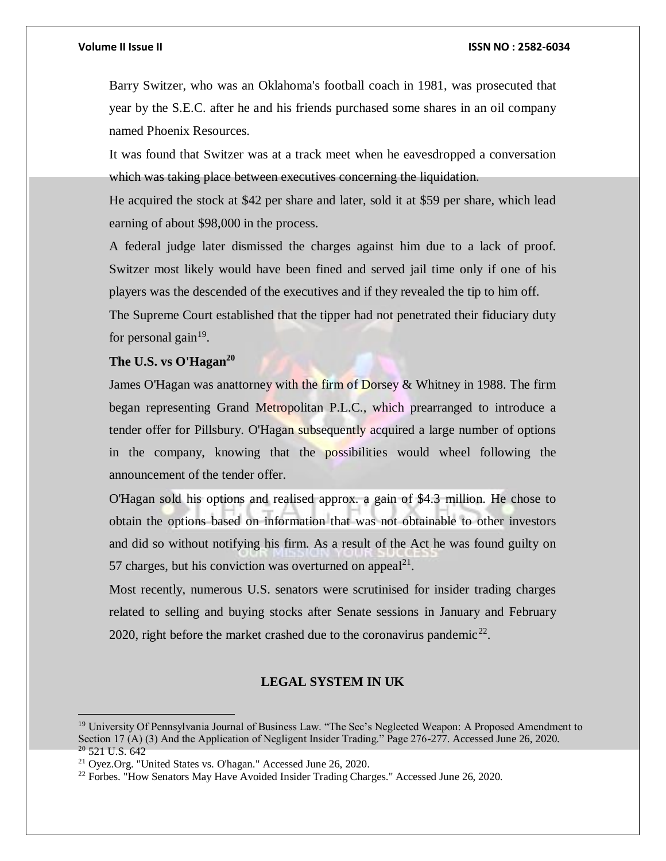Barry Switzer, who was an Oklahoma's football coach in 1981, was prosecuted that year by the S.E.C. after he and his friends purchased some shares in an oil company named Phoenix Resources.

It was found that Switzer was at a track meet when he eavesdropped a conversation which was taking place between executives concerning the liquidation.

He acquired the stock at \$42 per share and later, sold it at \$59 per share, which lead earning of about \$98,000 in the process.

A federal judge later dismissed the charges against him due to a lack of proof. Switzer most likely would have been fined and served jail time only if one of his players was the descended of the executives and if they revealed the tip to him off.

The Supreme Court established that the tipper had not penetrated their fiduciary duty for personal gain $19$ .

# **The U.S. vs O'Hagan<sup>20</sup>**

James O'Hagan was anattorney with the firm of Dorsey & Whitney in 1988. The firm began representing Grand Metropolitan P.L.C., which prearranged to introduce a tender offer for Pillsbury. O'Hagan subsequently acquired a large number of options in the company, knowing that the possibilities would wheel following the announcement of the tender offer.

O'Hagan sold his options and realised approx. a gain of \$4.3 million. He chose to obtain the options based on information that was not obtainable to other investors and did so without notifying his firm. As a result of the Act he was found guilty on 57 charges, but his conviction was overturned on appeal $^{21}$ .

Most recently, numerous U.S. senators were scrutinised for insider trading charges related to selling and buying stocks after Senate sessions in January and February 2020, right before the market crashed due to the coronavirus pandemic<sup>22</sup>.

### **LEGAL SYSTEM IN UK**

<sup>&</sup>lt;sup>19</sup> University Of Pennsylvania Journal of Business Law. "The Sec's Neglected Weapon: A Proposed Amendment to Section 17 (A) (3) And the Application of Negligent Insider Trading." Page 276-277. Accessed June 26, 2020.  $20$  521 U.S. 642

<sup>21</sup> Oyez.Org. "United States vs. O'hagan." Accessed June 26, 2020.

<sup>&</sup>lt;sup>22</sup> Forbes. "How Senators May Have Avoided Insider Trading Charges." Accessed June 26, 2020.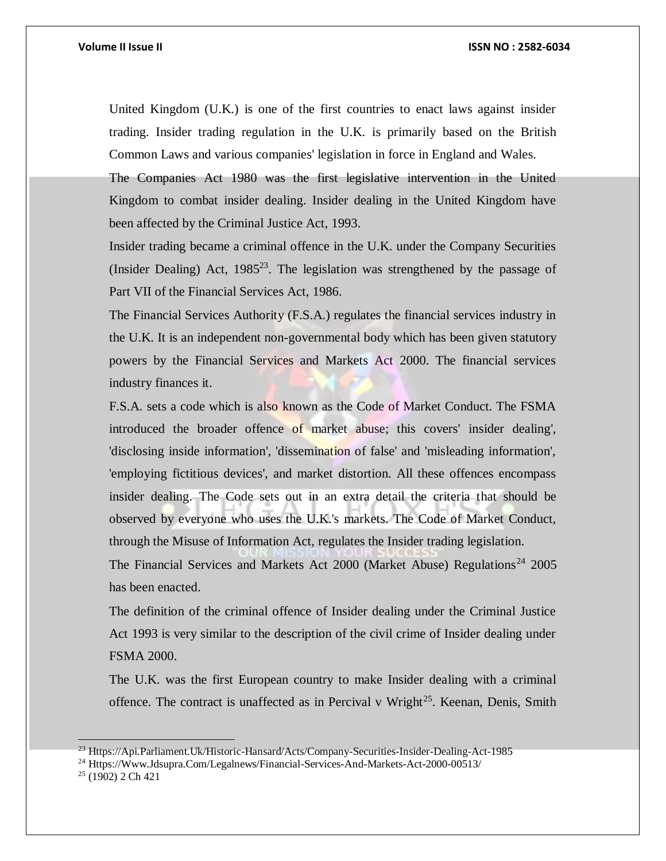United Kingdom (U.K.) is one of the first countries to enact laws against insider trading. Insider trading regulation in the U.K. is primarily based on the British Common Laws and various companies' legislation in force in England and Wales.

The Companies Act 1980 was the first legislative intervention in the United Kingdom to combat insider dealing. Insider dealing in the United Kingdom have been affected by the Criminal Justice Act, 1993.

Insider trading became a criminal offence in the U.K. under the Company Securities (Insider Dealing) Act,  $1985^{23}$ . The legislation was strengthened by the passage of Part VII of the Financial Services Act, 1986.

The Financial Services Authority (F.S.A.) regulates the financial services industry in the U.K. It is an independent non-governmental body which has been given statutory powers by the Financial Services and Markets Act 2000. The financial services industry finances it.

F.S.A. sets a code which is also known as the Code of Market Conduct. The FSMA introduced the broader offence of market abuse; this covers' insider dealing', 'disclosing inside information', 'dissemination of false' and 'misleading information', 'employing fictitious devices', and market distortion. All these offences encompass insider dealing. The Code sets out in an extra detail the criteria that should be observed by everyone who uses the U.K.'s markets. The Code of Market Conduct, through the Misuse of Information Act, regulates the Insider trading legislation. The Financial Services and Markets Act 2000 (Market Abuse) Regulations<sup>24</sup> 2005 has been enacted.

The definition of the criminal offence of Insider dealing under the Criminal Justice Act 1993 is very similar to the description of the civil crime of Insider dealing under FSMA 2000.

The U.K. was the first European country to make Insider dealing with a criminal offence. The contract is unaffected as in Percival v Wright<sup>25</sup>. Keenan, Denis, Smith

<sup>23</sup> Https://Api.Parliament.Uk/Historic-Hansard/Acts/Company-Securities-Insider-Dealing-Act-1985

<sup>24</sup> Https://Www.Jdsupra.Com/Legalnews/Financial-Services-And-Markets-Act-2000-00513/

<sup>25</sup> (1902) 2 Ch 421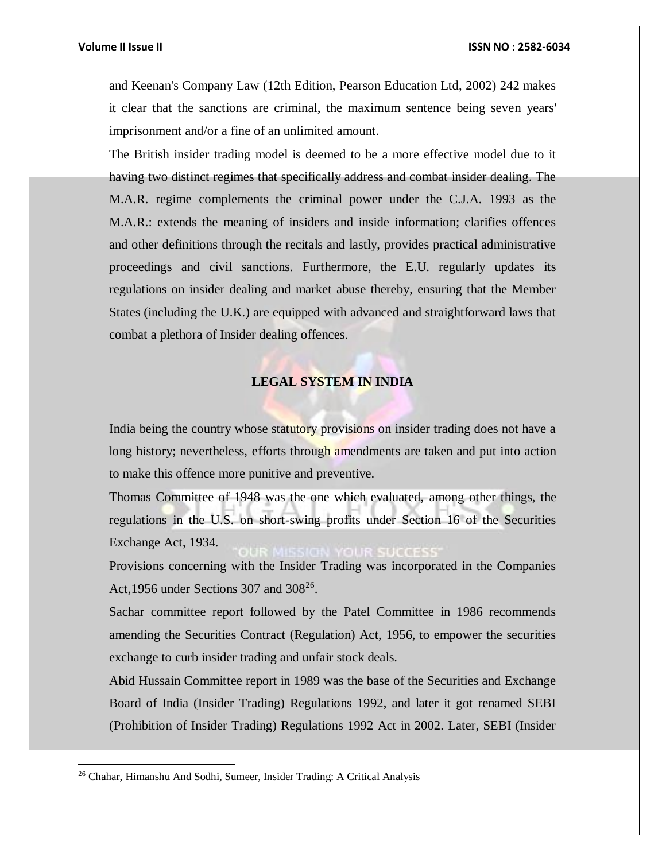and Keenan's Company Law (12th Edition, Pearson Education Ltd, 2002) 242 makes it clear that the sanctions are criminal, the maximum sentence being seven years' imprisonment and/or a fine of an unlimited amount.

The British insider trading model is deemed to be a more effective model due to it having two distinct regimes that specifically address and combat insider dealing. The M.A.R. regime complements the criminal power under the C.J.A. 1993 as the M.A.R.: extends the meaning of insiders and inside information; clarifies offences and other definitions through the recitals and lastly, provides practical administrative proceedings and civil sanctions. Furthermore, the E.U. regularly updates its regulations on insider dealing and market abuse thereby, ensuring that the Member States (including the U.K.) are equipped with advanced and straightforward laws that combat a plethora of Insider dealing offences.

## **LEGAL SYSTEM IN INDIA**

India being the country whose statutory provisions on insider trading does not have a long history; nevertheless, efforts through amendments are taken and put into action to make this offence more punitive and preventive.

Thomas Committee of 1948 was the one which evaluated, among other things, the regulations in the U.S. on short-swing profits under Section 16 of the Securities Exchange Act, 1934.

Provisions concerning with the Insider Trading was incorporated in the Companies Act, 1956 under Sections 307 and  $308^{26}$ .

Sachar committee report followed by the Patel Committee in 1986 recommends amending the Securities Contract (Regulation) Act, 1956, to empower the securities exchange to curb insider trading and unfair stock deals.

Abid Hussain Committee report in 1989 was the base of the Securities and Exchange Board of India (Insider Trading) Regulations 1992, and later it got renamed SEBI (Prohibition of Insider Trading) Regulations 1992 Act in 2002. Later, SEBI (Insider

<sup>26</sup> Chahar, Himanshu And Sodhi, Sumeer, Insider Trading: A Critical Analysis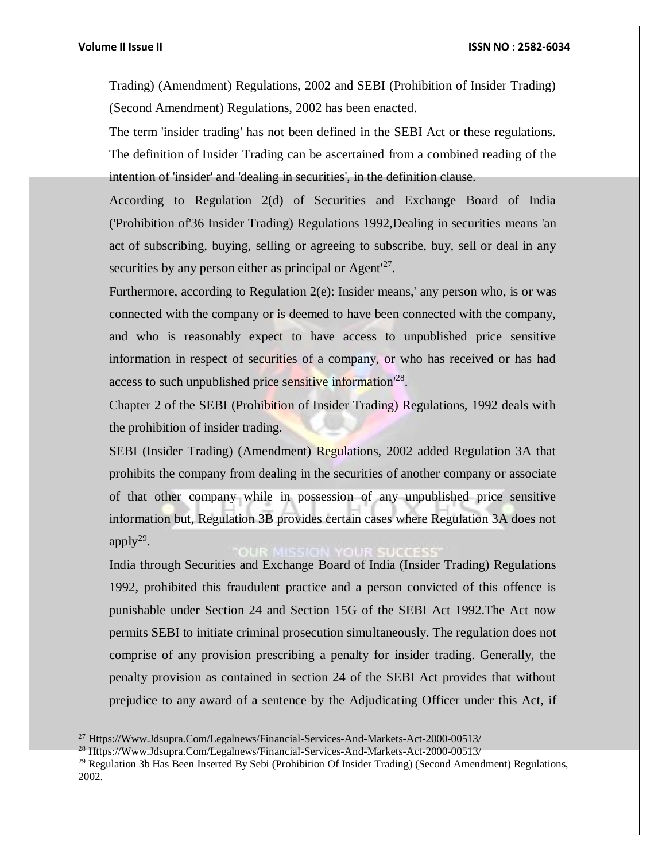Trading) (Amendment) Regulations, 2002 and SEBI (Prohibition of Insider Trading) (Second Amendment) Regulations, 2002 has been enacted.

The term 'insider trading' has not been defined in the SEBI Act or these regulations. The definition of Insider Trading can be ascertained from a combined reading of the intention of 'insider' and 'dealing in securities', in the definition clause.

According to Regulation 2(d) of Securities and Exchange Board of India ('Prohibition of'36 Insider Trading) Regulations 1992,Dealing in securities means 'an act of subscribing, buying, selling or agreeing to subscribe, buy, sell or deal in any securities by any person either as principal or Agent $^{127}$ .

Furthermore, according to Regulation 2(e): Insider means,' any person who, is or was connected with the company or is deemed to have been connected with the company, and who is reasonably expect to have access to unpublished price sensitive information in respect of securities of a company, or who has received or has had access to such unpublished price sensitive information<sup>128</sup>.

Chapter 2 of the SEBI (Prohibition of Insider Trading) Regulations, 1992 deals with the prohibition of insider trading.

SEBI (Insider Trading) (Amendment) Regulations, 2002 added Regulation 3A that prohibits the company from dealing in the securities of another company or associate of that other company while in possession of any unpublished price sensitive information but, Regulation 3B provides certain cases where Regulation 3A does not apply $^{29}$ .

India through Securities and Exchange Board of India (Insider Trading) Regulations 1992, prohibited this fraudulent practice and a person convicted of this offence is punishable under Section 24 and Section 15G of the SEBI Act 1992.The Act now permits SEBI to initiate criminal prosecution simultaneously. The regulation does not comprise of any provision prescribing a penalty for insider trading. Generally, the penalty provision as contained in section 24 of the SEBI Act provides that without prejudice to any award of a sentence by the Adjudicating Officer under this Act, if

<sup>27</sup> Https://Www.Jdsupra.Com/Legalnews/Financial-Services-And-Markets-Act-2000-00513/

<sup>28</sup> Https://Www.Jdsupra.Com/Legalnews/Financial-Services-And-Markets-Act-2000-00513/

<sup>29</sup> Regulation 3b Has Been Inserted By Sebi (Prohibition Of Insider Trading) (Second Amendment) Regulations, 2002.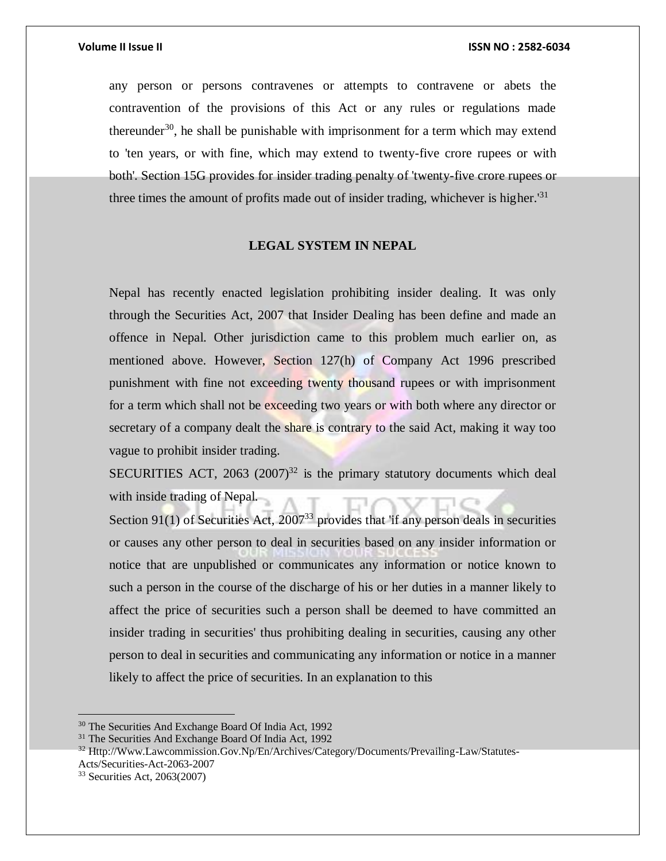any person or persons contravenes or attempts to contravene or abets the contravention of the provisions of this Act or any rules or regulations made thereunder<sup>30</sup>, he shall be punishable with imprisonment for a term which may extend to 'ten years, or with fine, which may extend to twenty-five crore rupees or with both'. Section 15G provides for insider trading penalty of 'twenty-five crore rupees or three times the amount of profits made out of insider trading, whichever is higher.<sup>'31</sup>

### **LEGAL SYSTEM IN NEPAL**

Nepal has recently enacted legislation prohibiting insider dealing. It was only through the Securities Act, 2007 that Insider Dealing has been define and made an offence in Nepal. Other jurisdiction came to this problem much earlier on, as mentioned above. However, Section 127(h) of Company Act 1996 prescribed punishment with fine not exceeding twenty thousand rupees or with imprisonment for a term which shall not be exceeding two years or with both where any director or secretary of a company dealt the share is contrary to the said Act, making it way too vague to prohibit insider trading.

SECURITIES ACT,  $2063$   $(2007)^{32}$  is the primary statutory documents which deal with inside trading of Nepal.

Section 91(1) of Securities Act,  $2007^{33}$  provides that 'if any person deals in securities or causes any other person to deal in securities based on any insider information or notice that are unpublished or communicates any information or notice known to such a person in the course of the discharge of his or her duties in a manner likely to affect the price of securities such a person shall be deemed to have committed an insider trading in securities' thus prohibiting dealing in securities, causing any other person to deal in securities and communicating any information or notice in a manner likely to affect the price of securities. In an explanation to this

<sup>30</sup> The Securities And Exchange Board Of India Act, 1992

<sup>&</sup>lt;sup>31</sup> The Securities And Exchange Board Of India Act, 1992

<sup>32</sup> Http://Www.Lawcommission.Gov.Np/En/Archives/Category/Documents/Prevailing-Law/Statutes-Acts/Securities-Act-2063-2007

<sup>33</sup> Securities Act, 2063(2007)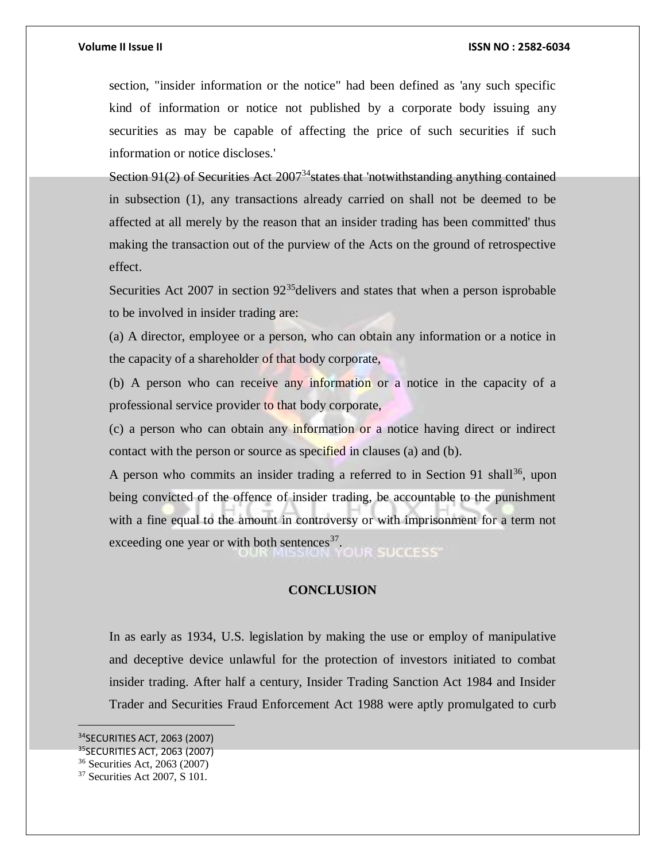section, "insider information or the notice" had been defined as 'any such specific kind of information or notice not published by a corporate body issuing any securities as may be capable of affecting the price of such securities if such information or notice discloses.'

Section 91(2) of Securities Act  $2007^{34}$  states that 'notwithstanding anything contained in subsection (1), any transactions already carried on shall not be deemed to be affected at all merely by the reason that an insider trading has been committed' thus making the transaction out of the purview of the Acts on the ground of retrospective effect.

Securities Act 2007 in section  $92^{35}$ delivers and states that when a person isprobable to be involved in insider trading are:

(a) A director, employee or a person, who can obtain any information or a notice in the capacity of a shareholder of that body corporate,

(b) A person who can receive any information or a notice in the capacity of a professional service provider to that body corporate,

(c) a person who can obtain any information or a notice having direct or indirect contact with the person or source as specified in clauses (a) and (b).

A person who commits an insider trading a referred to in Section 91 shall<sup>36</sup>, upon being convicted of the offence of insider trading, be accountable to the punishment with a fine equal to the amount in controversy or with imprisonment for a term not exceeding one year or with both sentences $37$ . **OUR SUCCESS** 

### **CONCLUSION**

In as early as 1934, U.S. legislation by making the use or employ of manipulative and deceptive device unlawful for the protection of investors initiated to combat insider trading. After half a century, Insider Trading Sanction Act 1984 and Insider Trader and Securities Fraud Enforcement Act 1988 were aptly promulgated to curb

<sup>34</sup>SECURITIES ACT, 2063 (2007)

<sup>35</sup>SECURITIES ACT, 2063 (2007)

<sup>36</sup> Securities Act, 2063 (2007)

<sup>37</sup> Securities Act 2007, S 101.